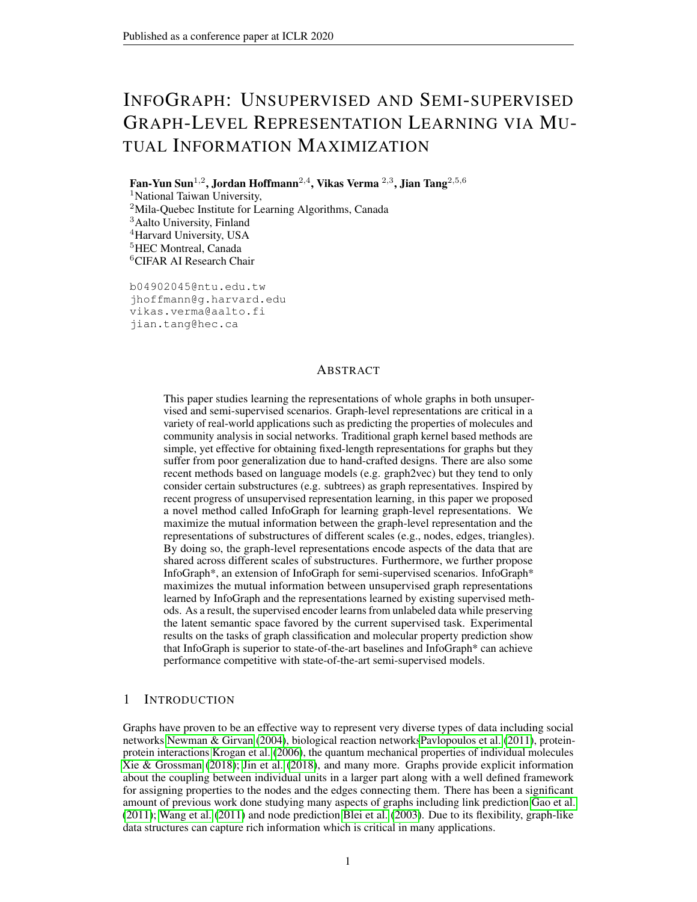# INFOGRAPH: UNSUPERVISED AND SEMI-SUPERVISED GRAPH-LEVEL REPRESENTATION LEARNING VIA MU-TUAL INFORMATION MAXIMIZATION

Fan-Yun Sun $^{1,2}$ , Jordan Hoffmann $^{2,4}$ , Vikas Verma  $^{2,3}$ , Jian Tang $^{2,5,6}$ <sup>1</sup>National Taiwan University, <sup>2</sup>Mila-Quebec Institute for Learning Algorithms, Canada <sup>3</sup>Aalto University, Finland <sup>4</sup>Harvard University, USA <sup>5</sup>HEC Montreal, Canada <sup>6</sup>CIFAR AI Research Chair

b04902045@ntu.edu.tw jhoffmann@g.harvard.edu vikas.verma@aalto.fi jian.tang@hec.ca

#### ABSTRACT

This paper studies learning the representations of whole graphs in both unsupervised and semi-supervised scenarios. Graph-level representations are critical in a variety of real-world applications such as predicting the properties of molecules and community analysis in social networks. Traditional graph kernel based methods are simple, yet effective for obtaining fixed-length representations for graphs but they suffer from poor generalization due to hand-crafted designs. There are also some recent methods based on language models (e.g. graph2vec) but they tend to only consider certain substructures (e.g. subtrees) as graph representatives. Inspired by recent progress of unsupervised representation learning, in this paper we proposed a novel method called InfoGraph for learning graph-level representations. We maximize the mutual information between the graph-level representation and the representations of substructures of different scales (e.g., nodes, edges, triangles). By doing so, the graph-level representations encode aspects of the data that are shared across different scales of substructures. Furthermore, we further propose InfoGraph\*, an extension of InfoGraph for semi-supervised scenarios. InfoGraph\* maximizes the mutual information between unsupervised graph representations learned by InfoGraph and the representations learned by existing supervised methods. As a result, the supervised encoder learns from unlabeled data while preserving the latent semantic space favored by the current supervised task. Experimental results on the tasks of graph classification and molecular property prediction show that InfoGraph is superior to state-of-the-art baselines and InfoGraph\* can achieve performance competitive with state-of-the-art semi-supervised models.

## 1 INTRODUCTION

Graphs have proven to be an effective way to represent very diverse types of data including social networks [Newman & Girvan](#page-10-0) [\(2004\)](#page-10-0), biological reaction network[sPavlopoulos et al.](#page-11-0) [\(2011\)](#page-11-0), proteinprotein interactions [Krogan et al.](#page-10-1) [\(2006\)](#page-10-1), the quantum mechanical properties of individual molecules [Xie & Grossman](#page-12-0) [\(2018\)](#page-12-0); [Jin et al.](#page-9-0) [\(2018\)](#page-9-0), and many more. Graphs provide explicit information about the coupling between individual units in a larger part along with a well defined framework for assigning properties to the nodes and the edges connecting them. There has been a significant amount of previous work done studying many aspects of graphs including link prediction [Gao et al.](#page-9-1) [\(2011\)](#page-9-1); [Wang et al.](#page-11-1) [\(2011\)](#page-11-1) and node prediction [Blei et al.](#page-8-0) [\(2003\)](#page-8-0). Due to its flexibility, graph-like data structures can capture rich information which is critical in many applications.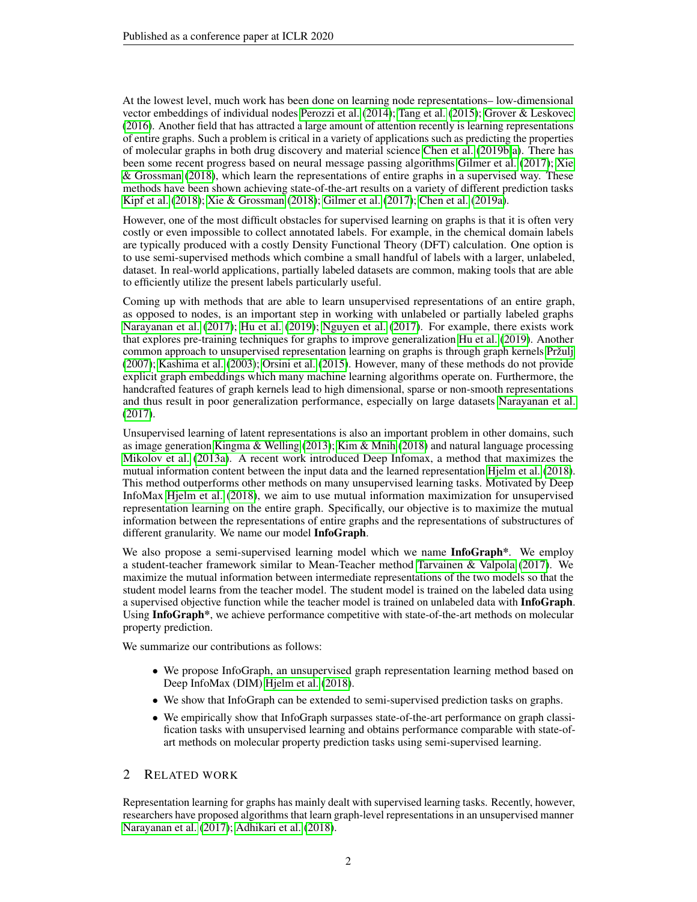At the lowest level, much work has been done on learning node representations– low-dimensional vector embeddings of individual nodes [Perozzi et al.](#page-11-2) [\(2014\)](#page-11-2); [Tang et al.](#page-11-3) [\(2015\)](#page-11-3); [Grover & Leskovec](#page-9-2) [\(2016\)](#page-9-2). Another field that has attracted a large amount of attention recently is learning representations of entire graphs. Such a problem is critical in a variety of applications such as predicting the properties of molecular graphs in both drug discovery and material science [Chen et al.](#page-8-1) [\(2019b](#page-8-1)[;a\)](#page-8-2). There has been some recent progress based on neural message passing algorithms [Gilmer et al.](#page-9-3) [\(2017\)](#page-9-3); [Xie](#page-12-0) [& Grossman](#page-12-0) [\(2018\)](#page-12-0), which learn the representations of entire graphs in a supervised way. These methods have been shown achieving state-of-the-art results on a variety of different prediction tasks [Kipf et al.](#page-9-4) [\(2018\)](#page-9-4); [Xie & Grossman](#page-12-0) [\(2018\)](#page-12-0); [Gilmer et al.](#page-9-3) [\(2017\)](#page-9-3); [Chen et al.](#page-8-2) [\(2019a\)](#page-8-2).

However, one of the most difficult obstacles for supervised learning on graphs is that it is often very costly or even impossible to collect annotated labels. For example, in the chemical domain labels are typically produced with a costly Density Functional Theory (DFT) calculation. One option is to use semi-supervised methods which combine a small handful of labels with a larger, unlabeled, dataset. In real-world applications, partially labeled datasets are common, making tools that are able to efficiently utilize the present labels particularly useful.

Coming up with methods that are able to learn unsupervised representations of an entire graph, as opposed to nodes, is an important step in working with unlabeled or partially labeled graphs [Narayanan et al.](#page-10-2) [\(2017\)](#page-10-2); [Hu et al.](#page-9-5) [\(2019\)](#page-9-5); [Nguyen et al.](#page-10-3) [\(2017\)](#page-10-3). For example, there exists work that explores pre-training techniques for graphs to improve generalization [Hu et al.](#page-9-5) [\(2019\)](#page-9-5). Another common approach to unsupervised representation learning on graphs is through graph kernels [Pržulj](#page-11-4) [\(2007\)](#page-11-4); [Kashima et al.](#page-9-6) [\(2003\)](#page-9-6); [Orsini et al.](#page-10-4) [\(2015\)](#page-10-4). However, many of these methods do not provide explicit graph embeddings which many machine learning algorithms operate on. Furthermore, the handcrafted features of graph kernels lead to high dimensional, sparse or non-smooth representations and thus result in poor generalization performance, especially on large datasets [Narayanan et al.](#page-10-2) [\(2017\)](#page-10-2).

Unsupervised learning of latent representations is also an important problem in other domains, such as image generation [Kingma & Welling](#page-9-7) [\(2013\)](#page-9-7); [Kim & Mnih](#page-9-8) [\(2018\)](#page-9-8) and natural language processing [Mikolov et al.](#page-10-5) [\(2013a\)](#page-10-5). A recent work introduced Deep Infomax, a method that maximizes the mutual information content between the input data and the learned representation [Hjelm et al.](#page-9-9) [\(2018\)](#page-9-9). This method outperforms other methods on many unsupervised learning tasks. Motivated by Deep InfoMax [Hjelm et al.](#page-9-9) [\(2018\)](#page-9-9), we aim to use mutual information maximization for unsupervised representation learning on the entire graph. Specifically, our objective is to maximize the mutual information between the representations of entire graphs and the representations of substructures of different granularity. We name our model InfoGraph.

We also propose a semi-supervised learning model which we name **InfoGraph**\*. We employ a student-teacher framework similar to Mean-Teacher method [Tarvainen & Valpola](#page-11-5) [\(2017\)](#page-11-5). We maximize the mutual information between intermediate representations of the two models so that the student model learns from the teacher model. The student model is trained on the labeled data using a supervised objective function while the teacher model is trained on unlabeled data with InfoGraph. Using InfoGraph\*, we achieve performance competitive with state-of-the-art methods on molecular property prediction.

We summarize our contributions as follows:

- We propose InfoGraph, an unsupervised graph representation learning method based on Deep InfoMax (DIM) [Hjelm et al.](#page-9-9) [\(2018\)](#page-9-9).
- We show that InfoGraph can be extended to semi-supervised prediction tasks on graphs.
- We empirically show that InfoGraph surpasses state-of-the-art performance on graph classification tasks with unsupervised learning and obtains performance comparable with state-ofart methods on molecular property prediction tasks using semi-supervised learning.

#### 2 RELATED WORK

Representation learning for graphs has mainly dealt with supervised learning tasks. Recently, however, researchers have proposed algorithms that learn graph-level representations in an unsupervised manner [Narayanan et al.](#page-10-2) [\(2017\)](#page-10-2); [Adhikari et al.](#page-8-3) [\(2018\)](#page-8-3).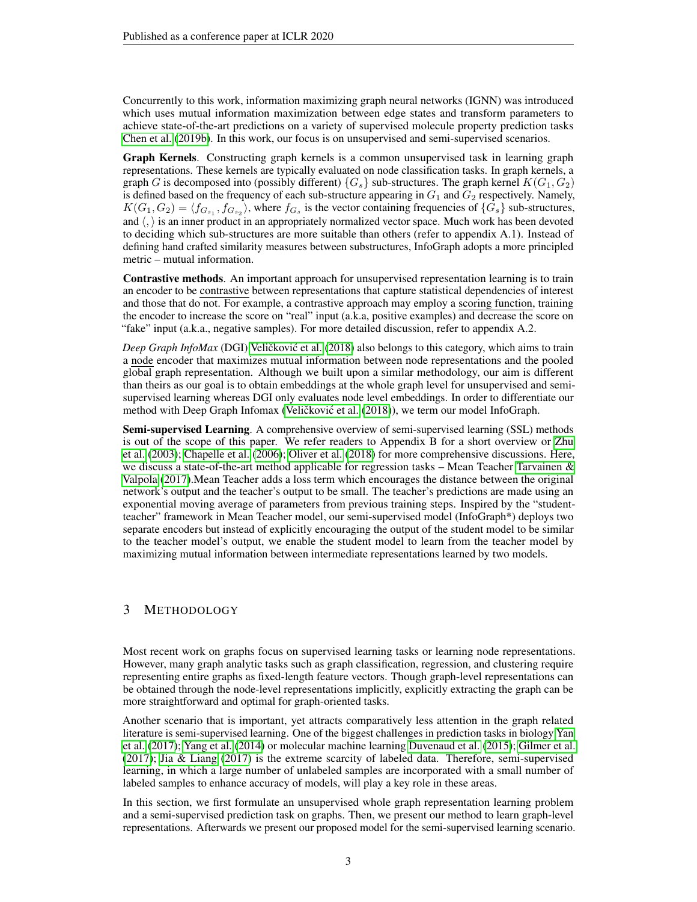Concurrently to this work, information maximizing graph neural networks (IGNN) was introduced which uses mutual information maximization between edge states and transform parameters to achieve state-of-the-art predictions on a variety of supervised molecule property prediction tasks [Chen et al.](#page-8-1) [\(2019b\)](#page-8-1). In this work, our focus is on unsupervised and semi-supervised scenarios.

Graph Kernels. Constructing graph kernels is a common unsupervised task in learning graph representations. These kernels are typically evaluated on node classification tasks. In graph kernels, a graph G is decomposed into (possibly different)  ${G<sub>s</sub>}$  sub-structures. The graph kernel  $K(G_1, G_2)$ is defined based on the frequency of each sub-structure appearing in  $G_1$  and  $G_2$  respectively. Namely,  $K(G_1, G_2) = \langle f_{G_{s_1}}, f_{G_{s_2}} \rangle$ , where  $f_{G_s}$  is the vector containing frequencies of  $\{G_s\}$  sub-structures, and  $\langle \cdot \rangle$  is an inner product in an appropriately normalized vector space. Much work has been devoted to deciding which sub-structures are more suitable than others (refer to appendix A.1). Instead of defining hand crafted similarity measures between substructures, InfoGraph adopts a more principled metric – mutual information.

Contrastive methods. An important approach for unsupervised representation learning is to train an encoder to be contrastive between representations that capture statistical dependencies of interest and those that do not. For example, a contrastive approach may employ a scoring function, training the encoder to increase the score on "real" input (a.k.a, positive examples) and decrease the score on "fake" input (a.k.a., negative samples). For more detailed discussion, refer to appendix A.2.

*Deep Graph InfoMax* (DGI) Veličković et al. [\(2018\)](#page-11-6) also belongs to this category, which aims to train a node encoder that maximizes mutual information between node representations and the pooled global graph representation. Although we built upon a similar methodology, our aim is different than theirs as our goal is to obtain embeddings at the whole graph level for unsupervised and semisupervised learning whereas DGI only evaluates node level embeddings. In order to differentiate our method with Deep Graph Infomax (Veličković et al. [\(2018\)](#page-11-6)), we term our model InfoGraph.

Semi-supervised Learning. A comprehensive overview of semi-supervised learning (SSL) methods is out of the scope of this paper. We refer readers to Appendix B for a short overview or [Zhu](#page-12-1) [et al.](#page-12-1) [\(2003\)](#page-12-1); [Chapelle et al.](#page-8-4) [\(2006\)](#page-8-4); [Oliver et al.](#page-10-6) [\(2018\)](#page-10-6) for more comprehensive discussions. Here, we discuss a state-of-the-art method applicable for regression tasks – Mean Teacher Tarvainen  $\&$ [Valpola](#page-11-5) [\(2017\)](#page-11-5).Mean Teacher adds a loss term which encourages the distance between the original network's output and the teacher's output to be small. The teacher's predictions are made using an exponential moving average of parameters from previous training steps. Inspired by the "studentteacher" framework in Mean Teacher model, our semi-supervised model (InfoGraph\*) deploys two separate encoders but instead of explicitly encouraging the output of the student model to be similar to the teacher model's output, we enable the student model to learn from the teacher model by maximizing mutual information between intermediate representations learned by two models.

## 3 METHODOLOGY

Most recent work on graphs focus on supervised learning tasks or learning node representations. However, many graph analytic tasks such as graph classification, regression, and clustering require representing entire graphs as fixed-length feature vectors. Though graph-level representations can be obtained through the node-level representations implicitly, explicitly extracting the graph can be more straightforward and optimal for graph-oriented tasks.

Another scenario that is important, yet attracts comparatively less attention in the graph related literature is semi-supervised learning. One of the biggest challenges in prediction tasks in biology [Yan](#page-12-2) [et al.](#page-12-2) [\(2017\)](#page-12-2); [Yang et al.](#page-12-3) [\(2014\)](#page-12-3) or molecular machine learning [Duvenaud et al.](#page-9-10) [\(2015\)](#page-9-10); [Gilmer et al.](#page-9-3) [\(2017\)](#page-9-3); [Jia & Liang](#page-9-11) [\(2017\)](#page-9-11) is the extreme scarcity of labeled data. Therefore, semi-supervised learning, in which a large number of unlabeled samples are incorporated with a small number of labeled samples to enhance accuracy of models, will play a key role in these areas.

In this section, we first formulate an unsupervised whole graph representation learning problem and a semi-supervised prediction task on graphs. Then, we present our method to learn graph-level representations. Afterwards we present our proposed model for the semi-supervised learning scenario.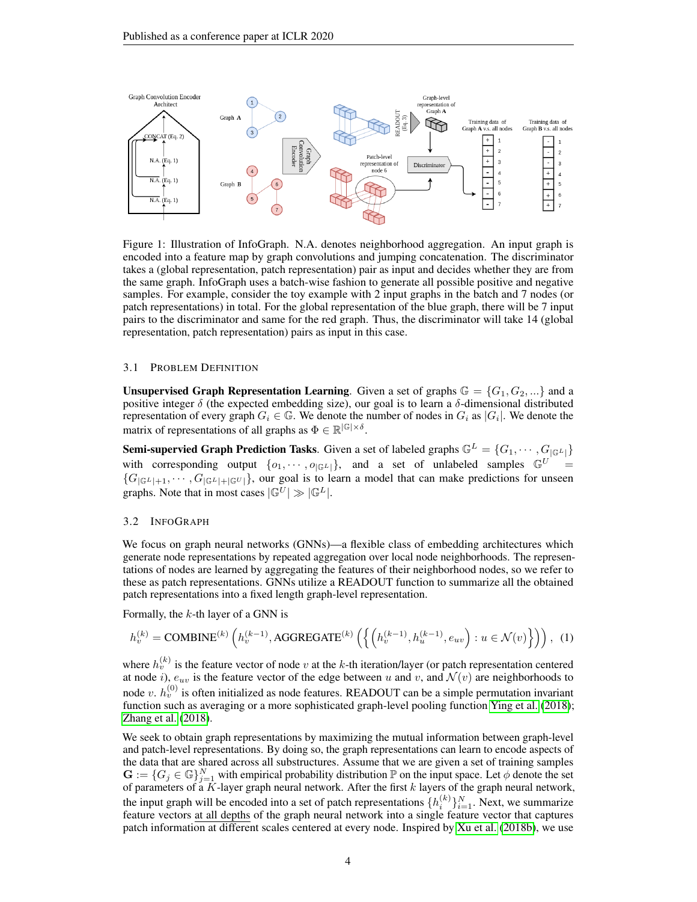

<span id="page-3-0"></span>Figure 1: Illustration of InfoGraph. N.A. denotes neighborhood aggregation. An input graph is encoded into a feature map by graph convolutions and jumping concatenation. The discriminator takes a (global representation, patch representation) pair as input and decides whether they are from the same graph. InfoGraph uses a batch-wise fashion to generate all possible positive and negative samples. For example, consider the toy example with 2 input graphs in the batch and 7 nodes (or patch representations) in total. For the global representation of the blue graph, there will be 7 input pairs to the discriminator and same for the red graph. Thus, the discriminator will take 14 (global representation, patch representation) pairs as input in this case.

#### 3.1 PROBLEM DEFINITION

**Unsupervised Graph Representation Learning.** Given a set of graphs  $\mathbb{G} = \{G_1, G_2, ...\}$  and a positive integer  $\delta$  (the expected embedding size), our goal is to learn a  $\delta$ -dimensional distributed representation of every graph  $G_i \in \mathbb{G}$ . We denote the number of nodes in  $G_i$  as  $|G_i|$ . We denote the matrix of representations of all graphs as  $\Phi \in \mathbb{R}^{|\mathbb{G}| \times \delta}$ .

**Semi-supervied Graph Prediction Tasks.** Given a set of labeled graphs  $\mathbb{G}^L = \{G_1, \dots, G_{|\mathbb{G}^L|}\}\$ with corresponding output  $\{o_1, \dots, o_{|\mathbb{G}^L|}\}$ , and a set of unlabeled samples  $\mathbb{G}^U$  ${G_{|\mathbb{G}^L|+1}, \cdots, G_{|\mathbb{G}^L|+|\mathbb{G}^U|}}$ , our goal is to learn a model that can make predictions for unseen graphs. Note that in most cases  $|\mathbb{G}^U| \gg |\mathbb{G}^L|$ .

#### 3.2 INFOGRAPH

We focus on graph neural networks (GNNs)—a flexible class of embedding architectures which generate node representations by repeated aggregation over local node neighborhoods. The representations of nodes are learned by aggregating the features of their neighborhood nodes, so we refer to these as patch representations. GNNs utilize a READOUT function to summarize all the obtained patch representations into a fixed length graph-level representation.

Formally, the  $k$ -th layer of a GNN is

$$
h_v^{(k)} = \text{COMBINE}^{(k)}\left(h_v^{(k-1)}, \text{AGGREGATE}^{(k)}\left(\left\{\left(h_v^{(k-1)}, h_u^{(k-1)}, e_{uv}\right) : u \in \mathcal{N}(v)\right\}\right)\right), \tag{1}
$$

where  $h_v^{(k)}$  is the feature vector of node v at the k-th iteration/layer (or patch representation centered at node *i*),  $e_{uv}$  is the feature vector of the edge between u and v, and  $\mathcal{N}(v)$  are neighborhoods to node v.  $h_v^{(0)}$  is often initialized as node features. READOUT can be a simple permutation invariant function such as averaging or a more sophisticated graph-level pooling function [Ying et al.](#page-12-4) [\(2018\)](#page-12-4); [Zhang et al.](#page-12-5) [\(2018\)](#page-12-5).

We seek to obtain graph representations by maximizing the mutual information between graph-level and patch-level representations. By doing so, the graph representations can learn to encode aspects of the data that are shared across all substructures. Assume that we are given a set of training samples  $\mathbf{G} := \{G_j \in \mathbb{G}\}_{j=1}^N$  with empirical probability distribution  $\mathbb{P}$  on the input space. Let  $\phi$  denote the set of parameters of a K-layer graph neural network. After the first  $k$  layers of the graph neural network, the input graph will be encoded into a set of patch representations  $\{h_i^{(k)}\}_{i=1}^N$ . Next, we summarize feature vectors at all depths of the graph neural network into a single feature vector that captures patch information at different scales centered at every node. Inspired by [Xu et al.](#page-12-6) [\(2018b\)](#page-12-6), we use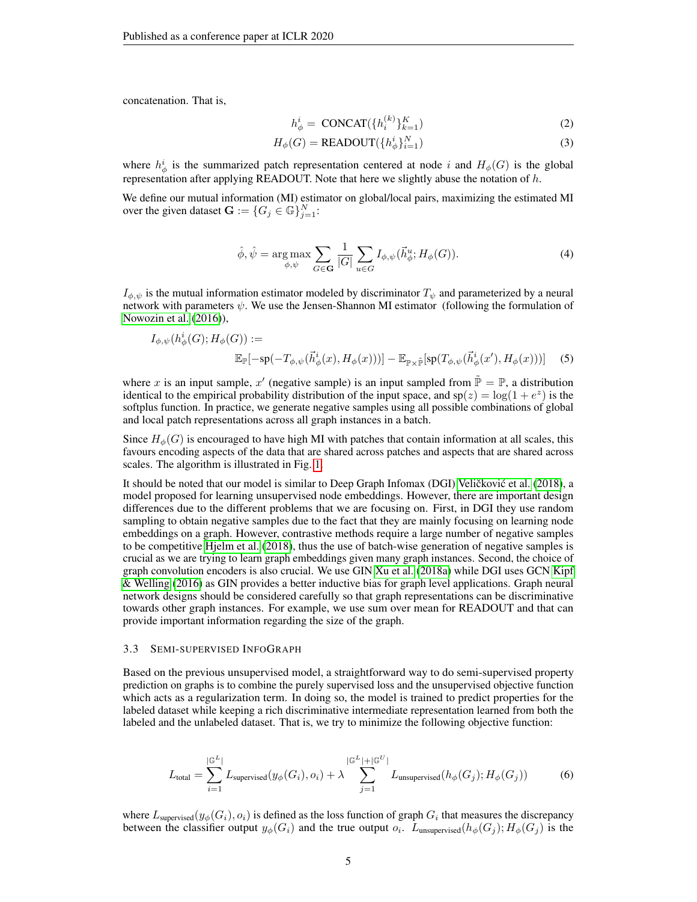concatenation. That is,

<span id="page-4-0"></span>
$$
h_{\phi}^{i} = \text{CONCAT}(\{h_i^{(k)}\}_{k=1}^K)
$$
\n<sup>(2)</sup>

$$
H_{\phi}(G) = \text{READOUT}(\{h_{\phi}^{i}\}_{i=1}^{N})
$$
\n(3)

where  $h_{\phi}^{i}$  is the summarized patch representation centered at node i and  $H_{\phi}(G)$  is the global representation after applying READOUT. Note that here we slightly abuse the notation of  $h$ .

We define our mutual information (MI) estimator on global/local pairs, maximizing the estimated MI over the given dataset  $\mathbf{G} := \{ G_j \in \mathbb{G} \}_{j=1}^N$ :

$$
\hat{\phi}, \hat{\psi} = \underset{\phi, \psi}{\arg \max} \sum_{G \in \mathbf{G}} \frac{1}{|G|} \sum_{u \in G} I_{\phi, \psi}(\vec{h}_{\phi}^u; H_{\phi}(G)). \tag{4}
$$

 $I_{\phi, \psi}$  is the mutual information estimator modeled by discriminator  $T_{\psi}$  and parameterized by a neural network with parameters  $\psi$ . We use the Jensen-Shannon MI estimator (following the formulation of [Nowozin et al.](#page-10-7) [\(2016\)](#page-10-7)),

$$
I_{\phi,\psi}(h_{\phi}^i(G);H_{\phi}(G)) :=
$$
  

$$
\mathbb{E}_{\mathbb{P}}[-\text{sp}(-T_{\phi,\psi}(\vec{h}_{\phi}^i(x),H_{\phi}(x)))] - \mathbb{E}_{\mathbb{P}\times\tilde{\mathbb{P}}}[\text{sp}(T_{\phi,\psi}(\vec{h}_{\phi}^i(x'),H_{\phi}(x)))]
$$
 (5)

where x is an input sample, x' (negative sample) is an input sampled from  $\tilde{\mathbb{P}} = \mathbb{P}$ , a distribution identical to the empirical probability distribution of the input space, and  $sp(z) = log(1 + e^z)$  is the softplus function. In practice, we generate negative samples using all possible combinations of global and local patch representations across all graph instances in a batch.

Since  $H_{\phi}(G)$  is encouraged to have high MI with patches that contain information at all scales, this favours encoding aspects of the data that are shared across patches and aspects that are shared across scales. The algorithm is illustrated in Fig. [1.](#page-3-0)

It should be noted that our model is similar to Deep Graph Infomax (DGI) Veličković et al. [\(2018\)](#page-11-6), a model proposed for learning unsupervised node embeddings. However, there are important design differences due to the different problems that we are focusing on. First, in DGI they use random sampling to obtain negative samples due to the fact that they are mainly focusing on learning node embeddings on a graph. However, contrastive methods require a large number of negative samples to be competitive [Hjelm et al.](#page-9-9) [\(2018\)](#page-9-9), thus the use of batch-wise generation of negative samples is crucial as we are trying to learn graph embeddings given many graph instances. Second, the choice of graph convolution encoders is also crucial. We use GIN [Xu et al.](#page-12-7) [\(2018a\)](#page-12-7) while DGI uses GCN [Kipf](#page-9-12) [& Welling](#page-9-12) [\(2016\)](#page-9-12) as GIN provides a better inductive bias for graph level applications. Graph neural network designs should be considered carefully so that graph representations can be discriminative towards other graph instances. For example, we use sum over mean for READOUT and that can provide important information regarding the size of the graph.

#### 3.3 SEMI-SUPERVISED INFOGRAPH

Based on the previous unsupervised model, a straightforward way to do semi-supervised property prediction on graphs is to combine the purely supervised loss and the unsupervised objective function which acts as a regularization term. In doing so, the model is trained to predict properties for the labeled dataset while keeping a rich discriminative intermediate representation learned from both the labeled and the unlabeled dataset. That is, we try to minimize the following objective function:

<span id="page-4-1"></span>
$$
L_{\text{total}} = \sum_{i=1}^{|\mathbb{G}^L|} L_{\text{supervised}}(y_{\phi}(G_i), o_i) + \lambda \sum_{j=1}^{|\mathbb{G}^L| + |\mathbb{G}^U|} L_{\text{unsupervised}}(h_{\phi}(G_j); H_{\phi}(G_j))
$$
(6)

where  $L_{\text{supervised}}(y_{\phi}(G_i), o_i)$  is defined as the loss function of graph  $G_i$  that measures the discrepancy between the classifier output  $y_{\phi}(G_i)$  and the true output  $o_i$ .  $L_{\text{unsupervised}}(h_{\phi}(G_j); H_{\phi}(G_j)$  is the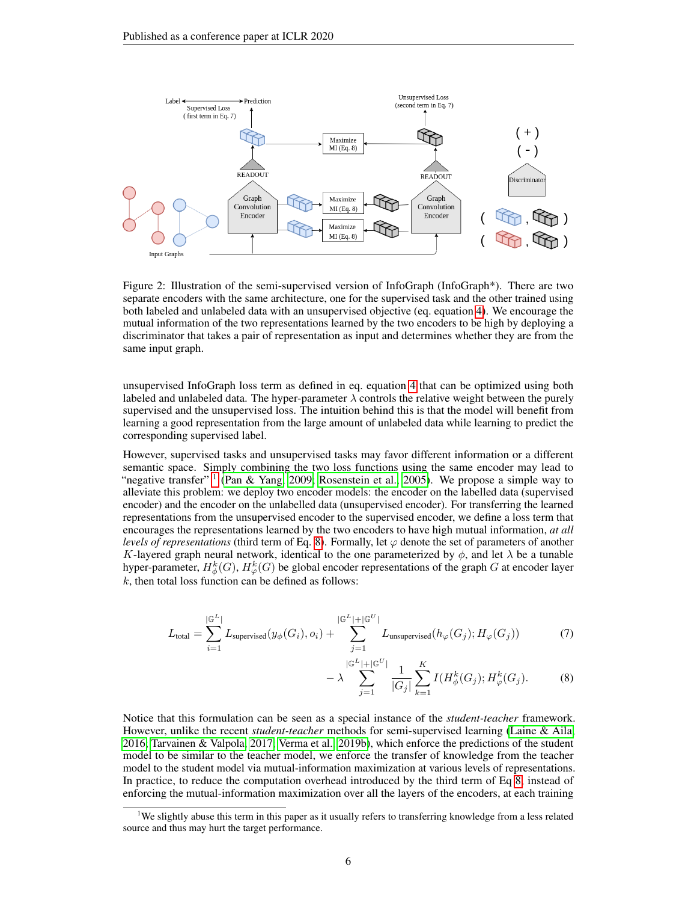

Figure 2: Illustration of the semi-supervised version of InfoGraph (InfoGraph\*). There are two separate encoders with the same architecture, one for the supervised task and the other trained using both labeled and unlabeled data with an unsupervised objective (eq. equation [4\)](#page-4-0). We encourage the mutual information of the two representations learned by the two encoders to be high by deploying a discriminator that takes a pair of representation as input and determines whether they are from the same input graph.

unsupervised InfoGraph loss term as defined in eq. equation [4](#page-4-0) that can be optimized using both labeled and unlabeled data. The hyper-parameter  $\lambda$  controls the relative weight between the purely supervised and the unsupervised loss. The intuition behind this is that the model will benefit from learning a good representation from the large amount of unlabeled data while learning to predict the corresponding supervised label.

However, supervised tasks and unsupervised tasks may favor different information or a different semantic space. Simply combining the two loss functions using the same encoder may lead to "negative transfer" <sup>[1](#page-5-0)</sup> [\(Pan & Yang, 2009;](#page-10-8) [Rosenstein et al., 2005\)](#page-11-7). We propose a simple way to alleviate this problem: we deploy two encoder models: the encoder on the labelled data (supervised encoder) and the encoder on the unlabelled data (unsupervised encoder). For transferring the learned representations from the unsupervised encoder to the supervised encoder, we define a loss term that encourages the representations learned by the two encoders to have high mutual information, *at all levels of representations* (third term of Eq. [8\)](#page-5-1). Formally, let  $\varphi$  denote the set of parameters of another K-layered graph neural network, identical to the one parameterized by  $\phi$ , and let  $\lambda$  be a tunable hyper-parameter,  $H^k_{\phi}(G),$   $H^k_{\phi}(G)$  be global encoder representations of the graph  $G$  at encoder layer  $k$ , then total loss function can be defined as follows:

$$
L_{\text{total}} = \sum_{i=1}^{|\mathbb{G}^L|} L_{\text{supervised}}(y_{\phi}(G_i), o_i) + \sum_{j=1}^{|\mathbb{G}^L| + |\mathbb{G}^U|} L_{\text{unsupervised}}(h_{\varphi}(G_j); H_{\varphi}(G_j))
$$
(7)

<span id="page-5-1"></span>
$$
-\lambda \sum_{j=1}^{|\mathbb{G}^{L}|+|\mathbb{G}^{U}|} \frac{1}{|G_{j}|} \sum_{k=1}^{K} I(H_{\phi}^{k}(G_{j}); H_{\varphi}^{k}(G_{j}).
$$
 (8)

Notice that this formulation can be seen as a special instance of the *student-teacher* framework. However, unlike the recent *student-teacher* methods for semi-supervised learning [\(Laine & Aila,](#page-10-9) [2016;](#page-10-9) [Tarvainen & Valpola, 2017;](#page-11-5) [Verma et al., 2019b\)](#page-11-8), which enforce the predictions of the student model to be similar to the teacher model, we enforce the transfer of knowledge from the teacher model to the student model via mutual-information maximization at various levels of representations. In practice, to reduce the computation overhead introduced by the third term of Eq [8,](#page-5-1) instead of enforcing the mutual-information maximization over all the layers of the encoders, at each training

<span id="page-5-0"></span><sup>&</sup>lt;sup>1</sup>We slightly abuse this term in this paper as it usually refers to transferring knowledge from a less related source and thus may hurt the target performance.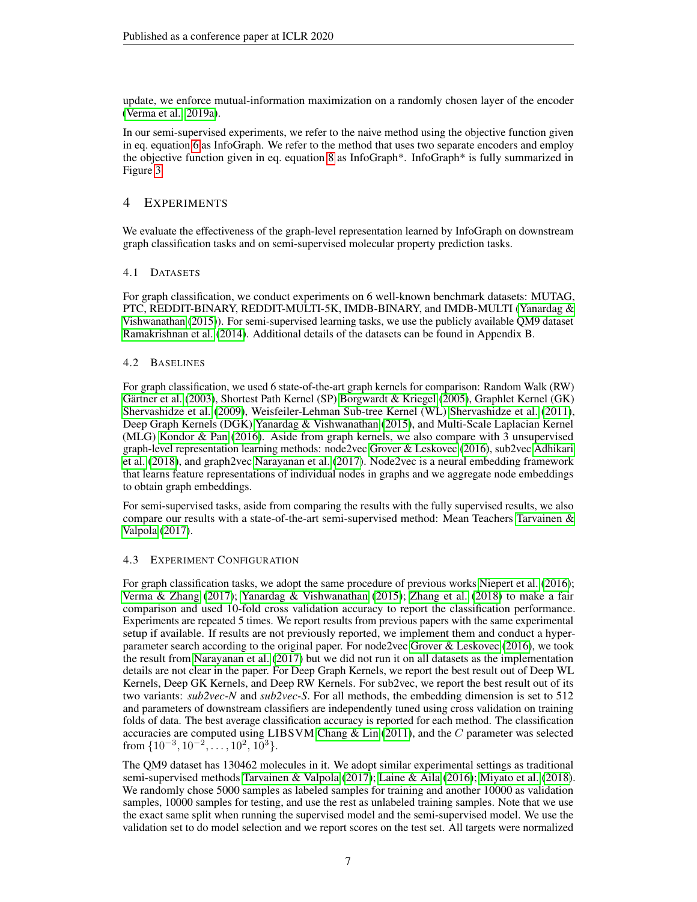update, we enforce mutual-information maximization on a randomly chosen layer of the encoder [\(Verma et al., 2019a\)](#page-11-9).

In our semi-supervised experiments, we refer to the naive method using the objective function given in eq. equation [6](#page-4-1) as InfoGraph. We refer to the method that uses two separate encoders and employ the objective function given in eq. equation [8](#page-5-1) as InfoGraph\*. InfoGraph\* is fully summarized in Figure [3.](#page-15-0)

## 4 EXPERIMENTS

We evaluate the effectiveness of the graph-level representation learned by InfoGraph on downstream graph classification tasks and on semi-supervised molecular property prediction tasks.

#### 4.1 DATASETS

For graph classification, we conduct experiments on 6 well-known benchmark datasets: MUTAG, PTC, REDDIT-BINARY, REDDIT-MULTI-5K, IMDB-BINARY, and IMDB-MULTI [\(Yanardag &](#page-12-8) [Vishwanathan](#page-12-8) [\(2015\)](#page-12-8)). For semi-supervised learning tasks, we use the publicly available QM9 dataset [Ramakrishnan et al.](#page-11-10) [\(2014\)](#page-11-10). Additional details of the datasets can be found in Appendix B.

#### 4.2 BASELINES

For graph classification, we used 6 state-of-the-art graph kernels for comparison: Random Walk (RW) [Gärtner et al.](#page-9-13) [\(2003\)](#page-9-13), Shortest Path Kernel (SP) [Borgwardt & Kriegel](#page-8-5) [\(2005\)](#page-8-5), Graphlet Kernel (GK) [Shervashidze et al.](#page-11-11) [\(2009\)](#page-11-11), Weisfeiler-Lehman Sub-tree Kernel (WL) [Shervashidze et al.](#page-11-12) [\(2011\)](#page-11-12), Deep Graph Kernels (DGK) [Yanardag & Vishwanathan](#page-12-8) [\(2015\)](#page-12-8), and Multi-Scale Laplacian Kernel (MLG) [Kondor & Pan](#page-10-10) [\(2016\)](#page-10-10). Aside from graph kernels, we also compare with 3 unsupervised graph-level representation learning methods: node2vec [Grover & Leskovec](#page-9-2) [\(2016\)](#page-9-2), sub2vec [Adhikari](#page-8-3) [et al.](#page-8-3) [\(2018\)](#page-8-3), and graph2vec [Narayanan et al.](#page-10-2) [\(2017\)](#page-10-2). Node2vec is a neural embedding framework that learns feature representations of individual nodes in graphs and we aggregate node embeddings to obtain graph embeddings.

For semi-supervised tasks, aside from comparing the results with the fully supervised results, we also compare our results with a state-of-the-art semi-supervised method: Mean Teachers [Tarvainen &](#page-11-5) [Valpola](#page-11-5) [\(2017\)](#page-11-5).

#### 4.3 EXPERIMENT CONFIGURATION

For graph classification tasks, we adopt the same procedure of previous works [Niepert et al.](#page-10-11) [\(2016\)](#page-10-11); [Verma & Zhang](#page-11-13) [\(2017\)](#page-11-13); [Yanardag & Vishwanathan](#page-12-8) [\(2015\)](#page-12-8); [Zhang et al.](#page-12-5) [\(2018\)](#page-12-5) to make a fair comparison and used 10-fold cross validation accuracy to report the classification performance. Experiments are repeated 5 times. We report results from previous papers with the same experimental setup if available. If results are not previously reported, we implement them and conduct a hyperparameter search according to the original paper. For node2vec [Grover & Leskovec](#page-9-2) [\(2016\)](#page-9-2), we took the result from [Narayanan et al.](#page-10-2) [\(2017\)](#page-10-2) but we did not run it on all datasets as the implementation details are not clear in the paper. For Deep Graph Kernels, we report the best result out of Deep WL Kernels, Deep GK Kernels, and Deep RW Kernels. For sub2vec, we report the best result out of its two variants: *sub2vec-N* and *sub2vec-S*. For all methods, the embedding dimension is set to 512 and parameters of downstream classifiers are independently tuned using cross validation on training folds of data. The best average classification accuracy is reported for each method. The classification accuracies are computed using  $LIBSVM$  Chang  $&$  Lin [\(2011\)](#page-8-6), and the  $C$  parameter was selected from  $\{10^{-3}, 10^{-2}, \ldots, 10^{2}, 10^{3}\}.$ 

The QM9 dataset has 130462 molecules in it. We adopt similar experimental settings as traditional semi-supervised methods [Tarvainen & Valpola](#page-11-5) [\(2017\)](#page-11-5); [Laine & Aila](#page-10-9) [\(2016\)](#page-10-9); [Miyato et al.](#page-10-12) [\(2018\)](#page-10-12). We randomly chose 5000 samples as labeled samples for training and another 10000 as validation samples, 10000 samples for testing, and use the rest as unlabeled training samples. Note that we use the exact same split when running the supervised model and the semi-supervised model. We use the validation set to do model selection and we report scores on the test set. All targets were normalized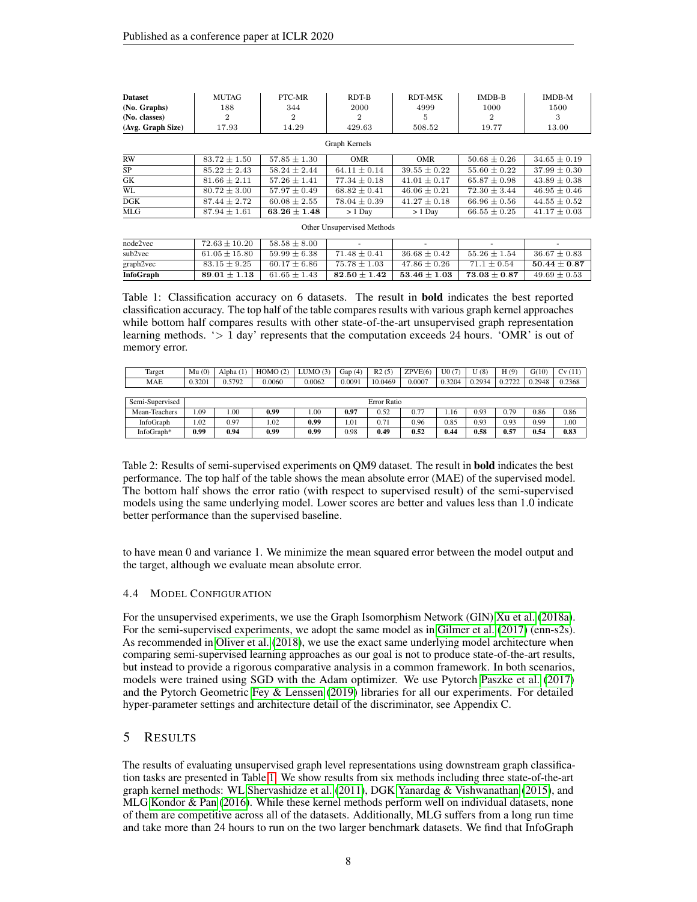| <b>Dataset</b>             | <b>MUTAG</b>            | PTC-MR                                      | RDT-B            | RDT-M5K          | <b>IMDB-B</b>       | <b>IMDB-M</b>    |  |  |  |  |
|----------------------------|-------------------------|---------------------------------------------|------------------|------------------|---------------------|------------------|--|--|--|--|
| (No. Graphs)               | 188                     | 344                                         | 2000             | 4999             | 1000                | 1500             |  |  |  |  |
| (No. classes)              | $\overline{2}$          | $\overline{2}$                              | $\overline{2}$   | 5                |                     | 3                |  |  |  |  |
| (Avg. Graph Size)          | 17.93                   | 14.29                                       | 429.63           | 508.52           | 19.77               | 13.00            |  |  |  |  |
| Graph Kernels              |                         |                                             |                  |                  |                     |                  |  |  |  |  |
| <b>RW</b>                  | $83.72 \pm 1.50$        | $57.85 \pm 1.30$                            | <b>OMR</b>       | <b>OMR</b>       | $50.68 \pm 0.26$    | $34.65 \pm 0.19$ |  |  |  |  |
| <b>SP</b>                  | $85.22 \pm 2.43$        | $58.24 \pm 2.44$                            | $64.11 \pm 0.14$ | $39.55 \pm 0.22$ | $55.60 \pm 0.22$    | $37.99 \pm 0.30$ |  |  |  |  |
| GK                         | $81.66 \pm 2.11$        | $57.26 \pm 1.41$                            | $77.34 \pm 0.18$ | $41.01 \pm 0.17$ | $65.87 \pm 0.98$    | $43.89 \pm 0.38$ |  |  |  |  |
| WL                         | $80.72 \pm 3.00$        | $57.97 \pm 0.49$                            | $68.82 \pm 0.41$ | $46.06 \pm 0.21$ | $72.30 \pm 3.44$    | $46.95 \pm 0.46$ |  |  |  |  |
| DGK                        | $87.44 \pm 2.72$        | $60.08 \pm 2.55$                            | $78.04 \pm 0.39$ | $41.27 \pm 0.18$ | $66.96 \pm 0.56$    | $44.55 \pm 0.52$ |  |  |  |  |
| <b>MLG</b>                 | $87.94 \pm 1.61$        | $63.26 \pm 1.48$                            | $> 1$ Day        | $> 1$ Day        | $66.55 \pm 0.25$    | $41.17 \pm 0.03$ |  |  |  |  |
| Other Unsupervised Methods |                         |                                             |                  |                  |                     |                  |  |  |  |  |
| node2vec                   | $72.63 \pm 10.20$       | $58.58 \pm 8.00$                            |                  |                  |                     |                  |  |  |  |  |
| $\sim$ $\sim$ $\sim$       | $C1$ $\cap E$   1.5 0.0 | $E \cap \cap \cap \cup \cap \cap \cap \cap$ | $71.40 \pm 0.41$ | 90001010         | $E E Q Q$ $1 1 E A$ | $96.67 \pm 0.99$ |  |  |  |  |

sub2vec  $61.05 \pm 15.80$   $59.99 \pm 6.38$   $71.48 \pm 0.41$   $36.68 \pm 0.42$   $55.26 \pm 1.54$   $36.67 \pm 0.83$ graph2vec 83.15  $\pm$  9.25 60.17  $\pm$  6.86 75.78  $\pm$  1.03 47.86  $\pm$  0.26 71.1  $\pm$  0.54 50.44  $\pm$  0.87<br>
InfoGraph 89.01  $\pm$  1.13 61.65  $\pm$  1.43 82.50  $\pm$  1.42 53.46  $\pm$  1.03 73.03  $\pm$  0.87 49.69  $\pm$  0.53 InfoGraph 89.01  $\pm$  1.13 61.65  $\pm$  1.43 82.50  $\pm$  1.42 53.46  $\pm$  1.03 73.03  $\pm$  0.87 49.69  $\pm$  0.53

<span id="page-7-0"></span>Table 1: Classification accuracy on 6 datasets. The result in bold indicates the best reported classification accuracy. The top half of the table compares results with various graph kernel approaches while bottom half compares results with other state-of-the-art unsupervised graph representation learning methods.  $\geq 1$  day' represents that the computation exceeds 24 hours. 'OMR' is out of memory error.

| Target          | Mu(0)       | Alpha $(1)$ | HOMO(2) | LUMO(3) | Gap $(4)$ | R2(5)   | ZPVE(6) | U(0(7)) | (8)    | H(9)   | G(10)  | Cv(11) |
|-----------------|-------------|-------------|---------|---------|-----------|---------|---------|---------|--------|--------|--------|--------|
| <b>MAE</b>      | 0.3201      | 0.5792      | 0.0060  | 0.0062  | 0.0091    | 10.0469 | 0.0007  | 0.3204  | 0.2934 | 0.2722 | 0.2948 | 0.2368 |
|                 |             |             |         |         |           |         |         |         |        |        |        |        |
| Semi-Supervised | Error Ratio |             |         |         |           |         |         |         |        |        |        |        |
| Mean-Teachers   | .09         | .00.        | 0.99    | 001     | 0.97      | 0.52    | 0.77    | 1.16    | 0.93   | 0.79   | 0.86   | 0.86   |
| InfoGraph       | 1.02        | 0.97        | 1.02    | 0.99    | 1.01      | 0.71    | 0.96    | 0.85    | 0.93   | 0.93   | 0.99   | 00.1   |
| InfoGraph*      | 0.99        | 0.94        | 0.99    | 0.99    | 0.98      | 0.49    | 0.52    | 0.44    | 0.58   | 0.57   | 0.54   | 0.83   |

<span id="page-7-1"></span>Table 2: Results of semi-supervised experiments on QM9 dataset. The result in bold indicates the best performance. The top half of the table shows the mean absolute error (MAE) of the supervised model. The bottom half shows the error ratio (with respect to supervised result) of the semi-supervised models using the same underlying model. Lower scores are better and values less than 1.0 indicate better performance than the supervised baseline.

to have mean 0 and variance 1. We minimize the mean squared error between the model output and the target, although we evaluate mean absolute error.

#### 4.4 MODEL CONFIGURATION

For the unsupervised experiments, we use the Graph Isomorphism Network (GIN) [Xu et al.](#page-12-7) [\(2018a\)](#page-12-7). For the semi-supervised experiments, we adopt the same model as in [Gilmer et al.](#page-9-3) [\(2017\)](#page-9-3) (enn-s2s). As recommended in [Oliver et al.](#page-10-6) [\(2018\)](#page-10-6), we use the exact same underlying model architecture when comparing semi-supervised learning approaches as our goal is not to produce state-of-the-art results, but instead to provide a rigorous comparative analysis in a common framework. In both scenarios, models were trained using SGD with the Adam optimizer. We use Pytorch [Paszke et al.](#page-11-14) [\(2017\)](#page-11-14) and the Pytorch Geometric [Fey & Lenssen](#page-9-14) [\(2019\)](#page-9-14) libraries for all our experiments. For detailed hyper-parameter settings and architecture detail of the discriminator, see Appendix C.

## 5 RESULTS

The results of evaluating unsupervised graph level representations using downstream graph classification tasks are presented in Table [1.](#page-7-0) We show results from six methods including three state-of-the-art graph kernel methods: WL [Shervashidze et al.](#page-11-12) [\(2011\)](#page-11-12), DGK [Yanardag & Vishwanathan](#page-12-8) [\(2015\)](#page-12-8), and MLG [Kondor & Pan](#page-10-10) [\(2016\)](#page-10-10). While these kernel methods perform well on individual datasets, none of them are competitive across all of the datasets. Additionally, MLG suffers from a long run time and take more than 24 hours to run on the two larger benchmark datasets. We find that InfoGraph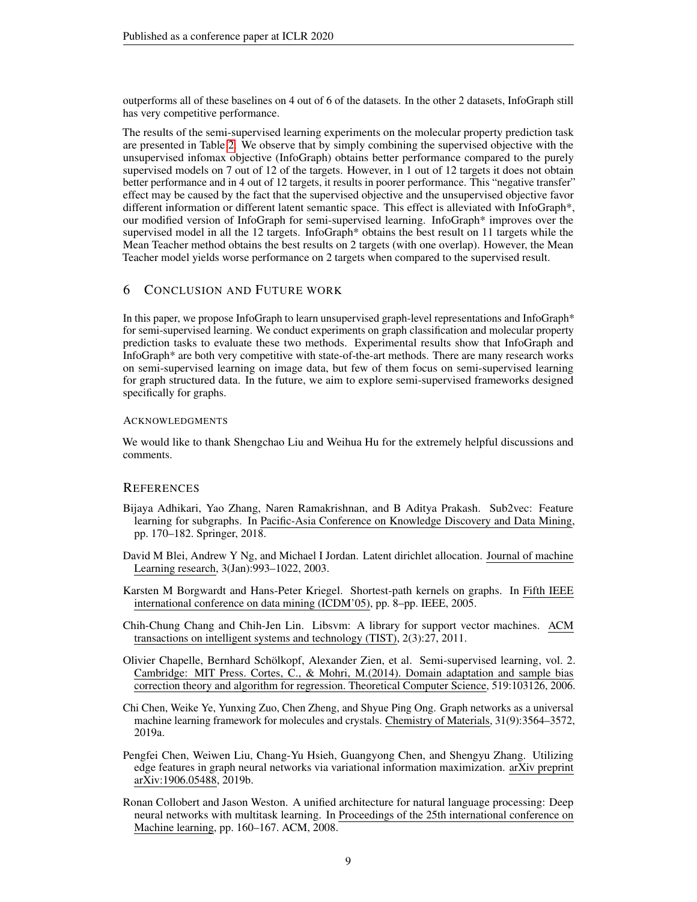outperforms all of these baselines on 4 out of 6 of the datasets. In the other 2 datasets, InfoGraph still has very competitive performance.

The results of the semi-supervised learning experiments on the molecular property prediction task are presented in Table [2.](#page-7-1) We observe that by simply combining the supervised objective with the unsupervised infomax objective (InfoGraph) obtains better performance compared to the purely supervised models on 7 out of 12 of the targets. However, in 1 out of 12 targets it does not obtain better performance and in 4 out of 12 targets, it results in poorer performance. This "negative transfer" effect may be caused by the fact that the supervised objective and the unsupervised objective favor different information or different latent semantic space. This effect is alleviated with InfoGraph\*, our modified version of InfoGraph for semi-supervised learning. InfoGraph\* improves over the supervised model in all the 12 targets. InfoGraph\* obtains the best result on 11 targets while the Mean Teacher method obtains the best results on 2 targets (with one overlap). However, the Mean Teacher model yields worse performance on 2 targets when compared to the supervised result.

#### 6 CONCLUSION AND FUTURE WORK

In this paper, we propose InfoGraph to learn unsupervised graph-level representations and InfoGraph\* for semi-supervised learning. We conduct experiments on graph classification and molecular property prediction tasks to evaluate these two methods. Experimental results show that InfoGraph and InfoGraph\* are both very competitive with state-of-the-art methods. There are many research works on semi-supervised learning on image data, but few of them focus on semi-supervised learning for graph structured data. In the future, we aim to explore semi-supervised frameworks designed specifically for graphs.

#### ACKNOWLEDGMENTS

We would like to thank Shengchao Liu and Weihua Hu for the extremely helpful discussions and comments.

#### **REFERENCES**

- <span id="page-8-3"></span>Bijaya Adhikari, Yao Zhang, Naren Ramakrishnan, and B Aditya Prakash. Sub2vec: Feature learning for subgraphs. In Pacific-Asia Conference on Knowledge Discovery and Data Mining, pp. 170–182. Springer, 2018.
- <span id="page-8-0"></span>David M Blei, Andrew Y Ng, and Michael I Jordan. Latent dirichlet allocation. Journal of machine Learning research, 3(Jan):993–1022, 2003.
- <span id="page-8-5"></span>Karsten M Borgwardt and Hans-Peter Kriegel. Shortest-path kernels on graphs. In Fifth IEEE international conference on data mining (ICDM'05), pp. 8–pp. IEEE, 2005.
- <span id="page-8-6"></span>Chih-Chung Chang and Chih-Jen Lin. Libsvm: A library for support vector machines. ACM transactions on intelligent systems and technology (TIST), 2(3):27, 2011.
- <span id="page-8-4"></span>Olivier Chapelle, Bernhard Schölkopf, Alexander Zien, et al. Semi-supervised learning, vol. 2. Cambridge: MIT Press. Cortes, C., & Mohri, M.(2014). Domain adaptation and sample bias correction theory and algorithm for regression. Theoretical Computer Science, 519:103126, 2006.
- <span id="page-8-2"></span>Chi Chen, Weike Ye, Yunxing Zuo, Chen Zheng, and Shyue Ping Ong. Graph networks as a universal machine learning framework for molecules and crystals. Chemistry of Materials, 31(9):3564–3572, 2019a.
- <span id="page-8-1"></span>Pengfei Chen, Weiwen Liu, Chang-Yu Hsieh, Guangyong Chen, and Shengyu Zhang. Utilizing edge features in graph neural networks via variational information maximization. arXiv preprint arXiv:1906.05488, 2019b.
- <span id="page-8-7"></span>Ronan Collobert and Jason Weston. A unified architecture for natural language processing: Deep neural networks with multitask learning. In Proceedings of the 25th international conference on Machine learning, pp. 160–167. ACM, 2008.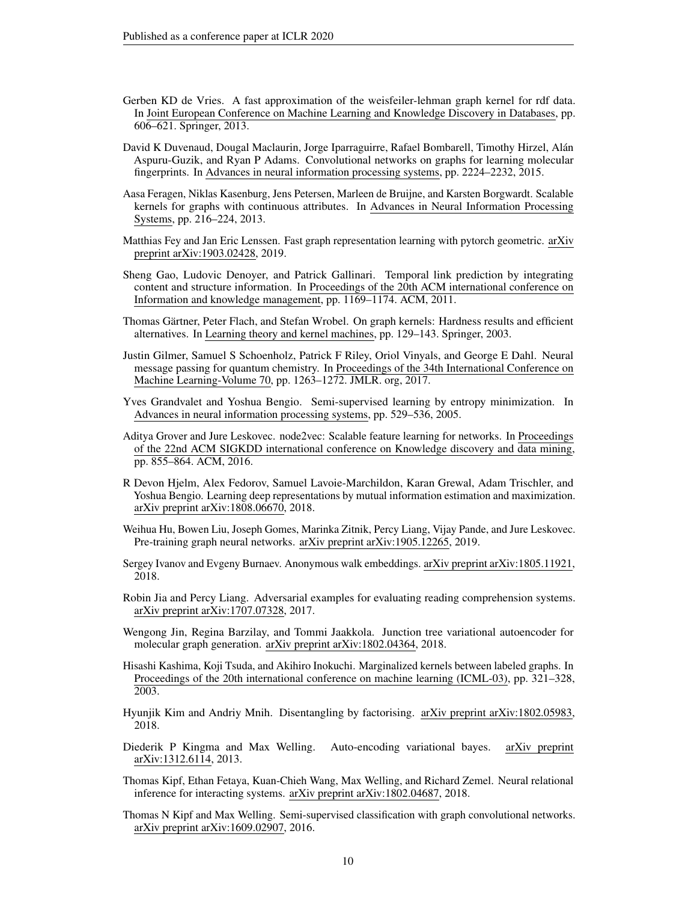- <span id="page-9-16"></span>Gerben KD de Vries. A fast approximation of the weisfeiler-lehman graph kernel for rdf data. In Joint European Conference on Machine Learning and Knowledge Discovery in Databases, pp. 606–621. Springer, 2013.
- <span id="page-9-10"></span>David K Duvenaud, Dougal Maclaurin, Jorge Iparraguirre, Rafael Bombarell, Timothy Hirzel, Alán Aspuru-Guzik, and Ryan P Adams. Convolutional networks on graphs for learning molecular fingerprints. In Advances in neural information processing systems, pp. 2224–2232, 2015.
- <span id="page-9-15"></span>Aasa Feragen, Niklas Kasenburg, Jens Petersen, Marleen de Bruijne, and Karsten Borgwardt. Scalable kernels for graphs with continuous attributes. In Advances in Neural Information Processing Systems, pp. 216–224, 2013.
- <span id="page-9-14"></span>Matthias Fey and Jan Eric Lenssen. Fast graph representation learning with pytorch geometric. arXiv preprint arXiv:1903.02428, 2019.
- <span id="page-9-1"></span>Sheng Gao, Ludovic Denoyer, and Patrick Gallinari. Temporal link prediction by integrating content and structure information. In Proceedings of the 20th ACM international conference on Information and knowledge management, pp. 1169–1174. ACM, 2011.
- <span id="page-9-13"></span>Thomas Gärtner, Peter Flach, and Stefan Wrobel. On graph kernels: Hardness results and efficient alternatives. In Learning theory and kernel machines, pp. 129–143. Springer, 2003.
- <span id="page-9-3"></span>Justin Gilmer, Samuel S Schoenholz, Patrick F Riley, Oriol Vinyals, and George E Dahl. Neural message passing for quantum chemistry. In Proceedings of the 34th International Conference on Machine Learning-Volume 70, pp. 1263–1272. JMLR. org, 2017.
- <span id="page-9-18"></span>Yves Grandvalet and Yoshua Bengio. Semi-supervised learning by entropy minimization. In Advances in neural information processing systems, pp. 529–536, 2005.
- <span id="page-9-2"></span>Aditya Grover and Jure Leskovec. node2vec: Scalable feature learning for networks. In Proceedings of the 22nd ACM SIGKDD international conference on Knowledge discovery and data mining, pp. 855–864. ACM, 2016.
- <span id="page-9-9"></span>R Devon Hjelm, Alex Fedorov, Samuel Lavoie-Marchildon, Karan Grewal, Adam Trischler, and Yoshua Bengio. Learning deep representations by mutual information estimation and maximization. arXiv preprint arXiv:1808.06670, 2018.
- <span id="page-9-5"></span>Weihua Hu, Bowen Liu, Joseph Gomes, Marinka Zitnik, Percy Liang, Vijay Pande, and Jure Leskovec. Pre-training graph neural networks. arXiv preprint arXiv:1905.12265, 2019.
- <span id="page-9-17"></span>Sergey Ivanov and Evgeny Burnaev. Anonymous walk embeddings. arXiv preprint arXiv:1805.11921, 2018.
- <span id="page-9-11"></span>Robin Jia and Percy Liang. Adversarial examples for evaluating reading comprehension systems. arXiv preprint arXiv:1707.07328, 2017.
- <span id="page-9-0"></span>Wengong Jin, Regina Barzilay, and Tommi Jaakkola. Junction tree variational autoencoder for molecular graph generation. arXiv preprint arXiv:1802.04364, 2018.
- <span id="page-9-6"></span>Hisashi Kashima, Koji Tsuda, and Akihiro Inokuchi. Marginalized kernels between labeled graphs. In Proceedings of the 20th international conference on machine learning (ICML-03), pp. 321–328, 2003.
- <span id="page-9-8"></span>Hyunjik Kim and Andriy Mnih. Disentangling by factorising. arXiv preprint arXiv:1802.05983, 2018.
- <span id="page-9-7"></span>Diederik P Kingma and Max Welling. Auto-encoding variational bayes. arXiv preprint arXiv:1312.6114, 2013.
- <span id="page-9-4"></span>Thomas Kipf, Ethan Fetaya, Kuan-Chieh Wang, Max Welling, and Richard Zemel. Neural relational inference for interacting systems. arXiv preprint arXiv:1802.04687, 2018.
- <span id="page-9-12"></span>Thomas N Kipf and Max Welling. Semi-supervised classification with graph convolutional networks. arXiv preprint arXiv:1609.02907, 2016.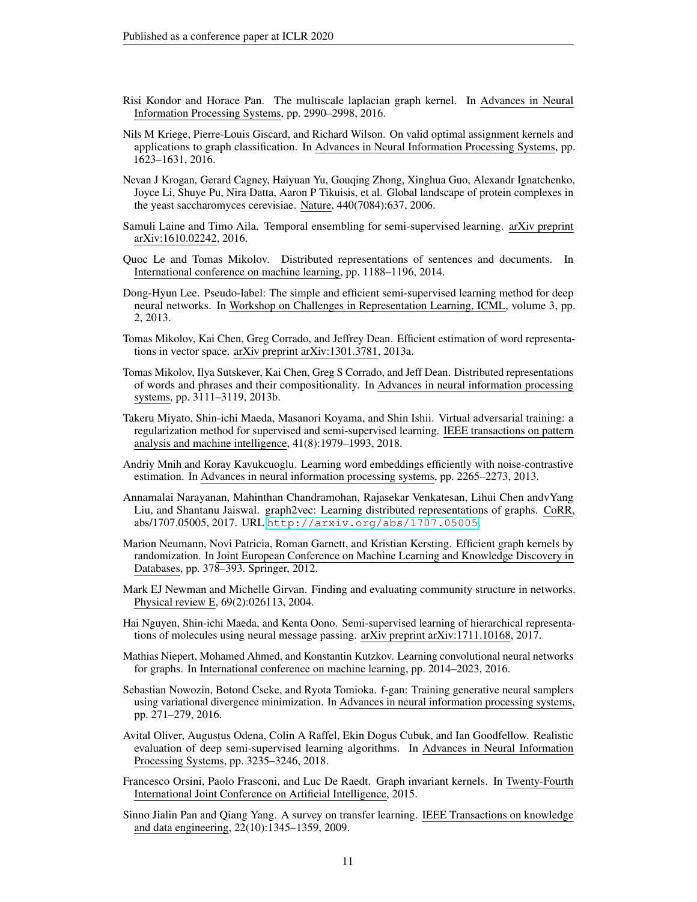- <span id="page-10-10"></span>Risi Kondor and Horace Pan. The multiscale laplacian graph kernel. In Advances in Neural Information Processing Systems, pp. 2990–2998, 2016.
- <span id="page-10-13"></span>Nils M Kriege, Pierre-Louis Giscard, and Richard Wilson. On valid optimal assignment kernels and applications to graph classification. In Advances in Neural Information Processing Systems, pp. 1623–1631, 2016.
- <span id="page-10-1"></span>Nevan J Krogan, Gerard Cagney, Haiyuan Yu, Gouqing Zhong, Xinghua Guo, Alexandr Ignatchenko, Joyce Li, Shuye Pu, Nira Datta, Aaron P Tikuisis, et al. Global landscape of protein complexes in the yeast saccharomyces cerevisiae. Nature, 440(7084):637, 2006.
- <span id="page-10-9"></span>Samuli Laine and Timo Aila. Temporal ensembling for semi-supervised learning. arXiv preprint arXiv:1610.02242, 2016.
- <span id="page-10-17"></span>Quoc Le and Tomas Mikolov. Distributed representations of sentences and documents. In International conference on machine learning, pp. 1188–1196, 2014.
- <span id="page-10-18"></span>Dong-Hyun Lee. Pseudo-label: The simple and efficient semi-supervised learning method for deep neural networks. In Workshop on Challenges in Representation Learning, ICML, volume 3, pp. 2, 2013.
- <span id="page-10-5"></span>Tomas Mikolov, Kai Chen, Greg Corrado, and Jeffrey Dean. Efficient estimation of word representations in vector space. arXiv preprint arXiv:1301.3781, 2013a.
- <span id="page-10-16"></span>Tomas Mikolov, Ilya Sutskever, Kai Chen, Greg S Corrado, and Jeff Dean. Distributed representations of words and phrases and their compositionality. In Advances in neural information processing systems, pp. 3111–3119, 2013b.
- <span id="page-10-12"></span>Takeru Miyato, Shin-ichi Maeda, Masanori Koyama, and Shin Ishii. Virtual adversarial training: a regularization method for supervised and semi-supervised learning. IEEE transactions on pattern analysis and machine intelligence, 41(8):1979–1993, 2018.
- <span id="page-10-15"></span>Andriy Mnih and Koray Kavukcuoglu. Learning word embeddings efficiently with noise-contrastive estimation. In Advances in neural information processing systems, pp. 2265–2273, 2013.
- <span id="page-10-2"></span>Annamalai Narayanan, Mahinthan Chandramohan, Rajasekar Venkatesan, Lihui Chen andvYang Liu, and Shantanu Jaiswal. graph2vec: Learning distributed representations of graphs. CoRR, abs/1707.05005, 2017. URL <http://arxiv.org/abs/1707.05005>.
- <span id="page-10-14"></span>Marion Neumann, Novi Patricia, Roman Garnett, and Kristian Kersting. Efficient graph kernels by randomization. In Joint European Conference on Machine Learning and Knowledge Discovery in Databases, pp. 378–393. Springer, 2012.
- <span id="page-10-0"></span>Mark EJ Newman and Michelle Girvan. Finding and evaluating community structure in networks. Physical review E, 69(2):026113, 2004.
- <span id="page-10-3"></span>Hai Nguyen, Shin-ichi Maeda, and Kenta Oono. Semi-supervised learning of hierarchical representations of molecules using neural message passing. arXiv preprint arXiv:1711.10168, 2017.
- <span id="page-10-11"></span>Mathias Niepert, Mohamed Ahmed, and Konstantin Kutzkov. Learning convolutional neural networks for graphs. In International conference on machine learning, pp. 2014–2023, 2016.
- <span id="page-10-7"></span>Sebastian Nowozin, Botond Cseke, and Ryota Tomioka. f-gan: Training generative neural samplers using variational divergence minimization. In Advances in neural information processing systems, pp. 271–279, 2016.
- <span id="page-10-6"></span>Avital Oliver, Augustus Odena, Colin A Raffel, Ekin Dogus Cubuk, and Ian Goodfellow. Realistic evaluation of deep semi-supervised learning algorithms. In Advances in Neural Information Processing Systems, pp. 3235–3246, 2018.
- <span id="page-10-4"></span>Francesco Orsini, Paolo Frasconi, and Luc De Raedt. Graph invariant kernels. In Twenty-Fourth International Joint Conference on Artificial Intelligence, 2015.
- <span id="page-10-8"></span>Sinno Jialin Pan and Qiang Yang. A survey on transfer learning. IEEE Transactions on knowledge and data engineering, 22(10):1345–1359, 2009.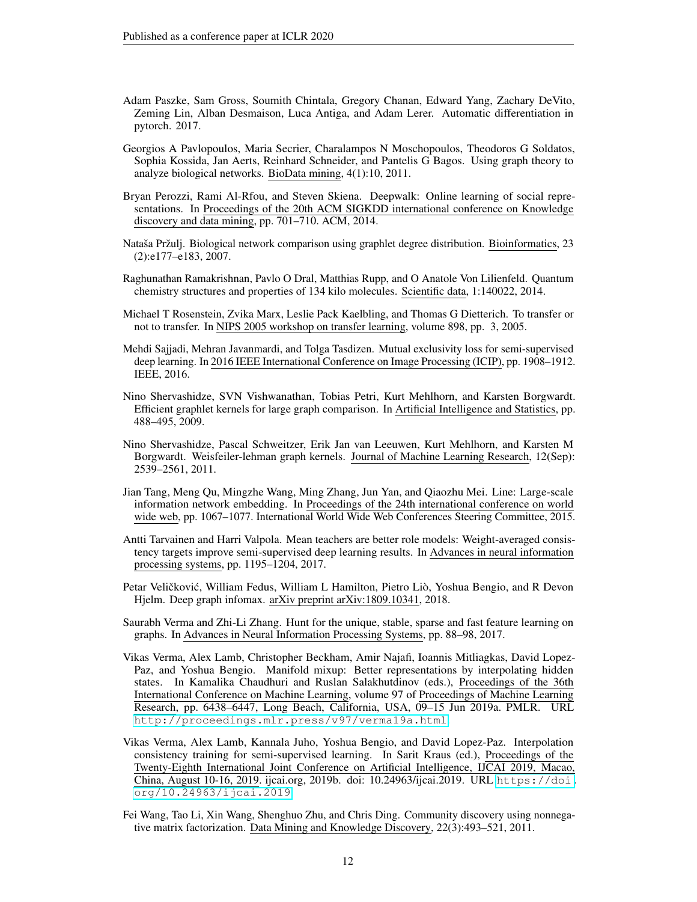- <span id="page-11-14"></span>Adam Paszke, Sam Gross, Soumith Chintala, Gregory Chanan, Edward Yang, Zachary DeVito, Zeming Lin, Alban Desmaison, Luca Antiga, and Adam Lerer. Automatic differentiation in pytorch. 2017.
- <span id="page-11-0"></span>Georgios A Pavlopoulos, Maria Secrier, Charalampos N Moschopoulos, Theodoros G Soldatos, Sophia Kossida, Jan Aerts, Reinhard Schneider, and Pantelis G Bagos. Using graph theory to analyze biological networks. BioData mining, 4(1):10, 2011.
- <span id="page-11-2"></span>Bryan Perozzi, Rami Al-Rfou, and Steven Skiena. Deepwalk: Online learning of social representations. In Proceedings of the 20th ACM SIGKDD international conference on Knowledge discovery and data mining, pp. 701–710. ACM, 2014.
- <span id="page-11-4"></span>Nataša Pržulj. Biological network comparison using graphlet degree distribution. Bioinformatics, 23 (2):e177–e183, 2007.
- <span id="page-11-10"></span>Raghunathan Ramakrishnan, Pavlo O Dral, Matthias Rupp, and O Anatole Von Lilienfeld. Quantum chemistry structures and properties of 134 kilo molecules. Scientific data, 1:140022, 2014.
- <span id="page-11-7"></span>Michael T Rosenstein, Zvika Marx, Leslie Pack Kaelbling, and Thomas G Dietterich. To transfer or not to transfer. In NIPS 2005 workshop on transfer learning, volume 898, pp. 3, 2005.
- <span id="page-11-15"></span>Mehdi Sajjadi, Mehran Javanmardi, and Tolga Tasdizen. Mutual exclusivity loss for semi-supervised deep learning. In 2016 IEEE International Conference on Image Processing (ICIP), pp. 1908–1912. IEEE, 2016.
- <span id="page-11-11"></span>Nino Shervashidze, SVN Vishwanathan, Tobias Petri, Kurt Mehlhorn, and Karsten Borgwardt. Efficient graphlet kernels for large graph comparison. In Artificial Intelligence and Statistics, pp. 488–495, 2009.
- <span id="page-11-12"></span>Nino Shervashidze, Pascal Schweitzer, Erik Jan van Leeuwen, Kurt Mehlhorn, and Karsten M Borgwardt. Weisfeiler-lehman graph kernels. Journal of Machine Learning Research, 12(Sep): 2539–2561, 2011.
- <span id="page-11-3"></span>Jian Tang, Meng Qu, Mingzhe Wang, Ming Zhang, Jun Yan, and Qiaozhu Mei. Line: Large-scale information network embedding. In Proceedings of the 24th international conference on world wide web, pp. 1067–1077. International World Wide Web Conferences Steering Committee, 2015.
- <span id="page-11-5"></span>Antti Tarvainen and Harri Valpola. Mean teachers are better role models: Weight-averaged consistency targets improve semi-supervised deep learning results. In Advances in neural information processing systems, pp. 1195–1204, 2017.
- <span id="page-11-6"></span>Petar Veličković, William Fedus, William L Hamilton, Pietro Liò, Yoshua Bengio, and R Devon Hjelm. Deep graph infomax. arXiv preprint arXiv:1809.10341, 2018.
- <span id="page-11-13"></span>Saurabh Verma and Zhi-Li Zhang. Hunt for the unique, stable, sparse and fast feature learning on graphs. In Advances in Neural Information Processing Systems, pp. 88–98, 2017.
- <span id="page-11-9"></span>Vikas Verma, Alex Lamb, Christopher Beckham, Amir Najafi, Ioannis Mitliagkas, David Lopez-Paz, and Yoshua Bengio. Manifold mixup: Better representations by interpolating hidden states. In Kamalika Chaudhuri and Ruslan Salakhutdinov (eds.), Proceedings of the 36th International Conference on Machine Learning, volume 97 of Proceedings of Machine Learning Research, pp. 6438–6447, Long Beach, California, USA, 09–15 Jun 2019a. PMLR. URL <http://proceedings.mlr.press/v97/verma19a.html>.
- <span id="page-11-8"></span>Vikas Verma, Alex Lamb, Kannala Juho, Yoshua Bengio, and David Lopez-Paz. Interpolation consistency training for semi-supervised learning. In Sarit Kraus (ed.), Proceedings of the Twenty-Eighth International Joint Conference on Artificial Intelligence, IJCAI 2019, Macao, China, August 10-16, 2019. ijcai.org, 2019b. doi: 10.24963/ijcai.2019. URL [https://doi.](https://doi.org/10.24963/ijcai.2019) [org/10.24963/ijcai.2019](https://doi.org/10.24963/ijcai.2019).
- <span id="page-11-1"></span>Fei Wang, Tao Li, Xin Wang, Shenghuo Zhu, and Chris Ding. Community discovery using nonnegative matrix factorization. Data Mining and Knowledge Discovery, 22(3):493–521, 2011.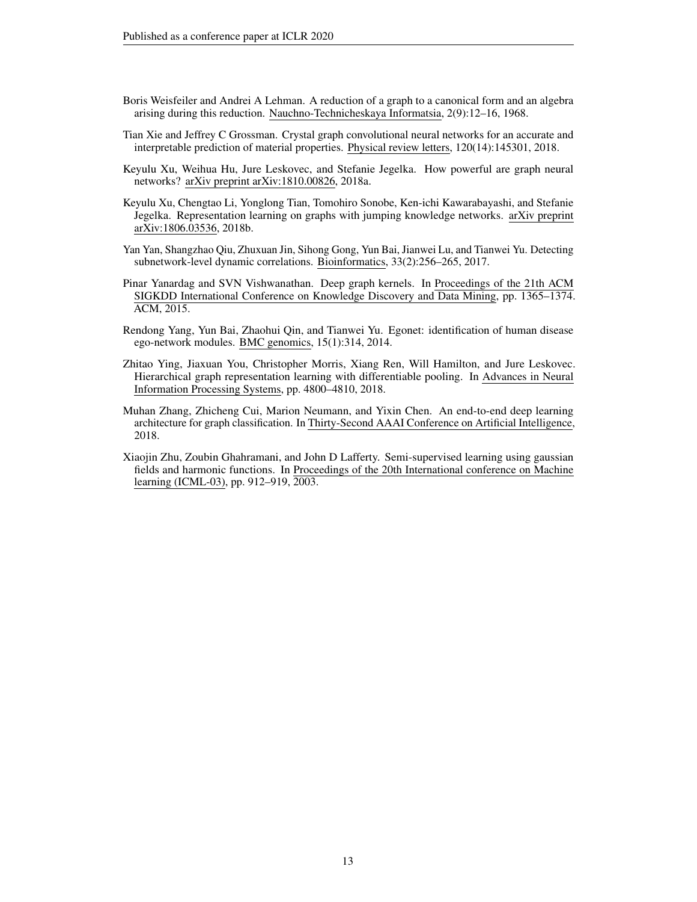- <span id="page-12-9"></span>Boris Weisfeiler and Andrei A Lehman. A reduction of a graph to a canonical form and an algebra arising during this reduction. Nauchno-Technicheskaya Informatsia, 2(9):12–16, 1968.
- <span id="page-12-0"></span>Tian Xie and Jeffrey C Grossman. Crystal graph convolutional neural networks for an accurate and interpretable prediction of material properties. Physical review letters, 120(14):145301, 2018.
- <span id="page-12-7"></span>Keyulu Xu, Weihua Hu, Jure Leskovec, and Stefanie Jegelka. How powerful are graph neural networks? arXiv preprint arXiv:1810.00826, 2018a.
- <span id="page-12-6"></span>Keyulu Xu, Chengtao Li, Yonglong Tian, Tomohiro Sonobe, Ken-ichi Kawarabayashi, and Stefanie Jegelka. Representation learning on graphs with jumping knowledge networks. arXiv preprint arXiv:1806.03536, 2018b.
- <span id="page-12-2"></span>Yan Yan, Shangzhao Qiu, Zhuxuan Jin, Sihong Gong, Yun Bai, Jianwei Lu, and Tianwei Yu. Detecting subnetwork-level dynamic correlations. Bioinformatics, 33(2):256–265, 2017.
- <span id="page-12-8"></span>Pinar Yanardag and SVN Vishwanathan. Deep graph kernels. In Proceedings of the 21th ACM SIGKDD International Conference on Knowledge Discovery and Data Mining, pp. 1365–1374. ACM, 2015.
- <span id="page-12-3"></span>Rendong Yang, Yun Bai, Zhaohui Qin, and Tianwei Yu. Egonet: identification of human disease ego-network modules. BMC genomics, 15(1):314, 2014.
- <span id="page-12-4"></span>Zhitao Ying, Jiaxuan You, Christopher Morris, Xiang Ren, Will Hamilton, and Jure Leskovec. Hierarchical graph representation learning with differentiable pooling. In Advances in Neural Information Processing Systems, pp. 4800–4810, 2018.
- <span id="page-12-5"></span>Muhan Zhang, Zhicheng Cui, Marion Neumann, and Yixin Chen. An end-to-end deep learning architecture for graph classification. In Thirty-Second AAAI Conference on Artificial Intelligence, 2018.
- <span id="page-12-1"></span>Xiaojin Zhu, Zoubin Ghahramani, and John D Lafferty. Semi-supervised learning using gaussian fields and harmonic functions. In Proceedings of the 20th International conference on Machine learning (ICML-03), pp. 912–919, 2003.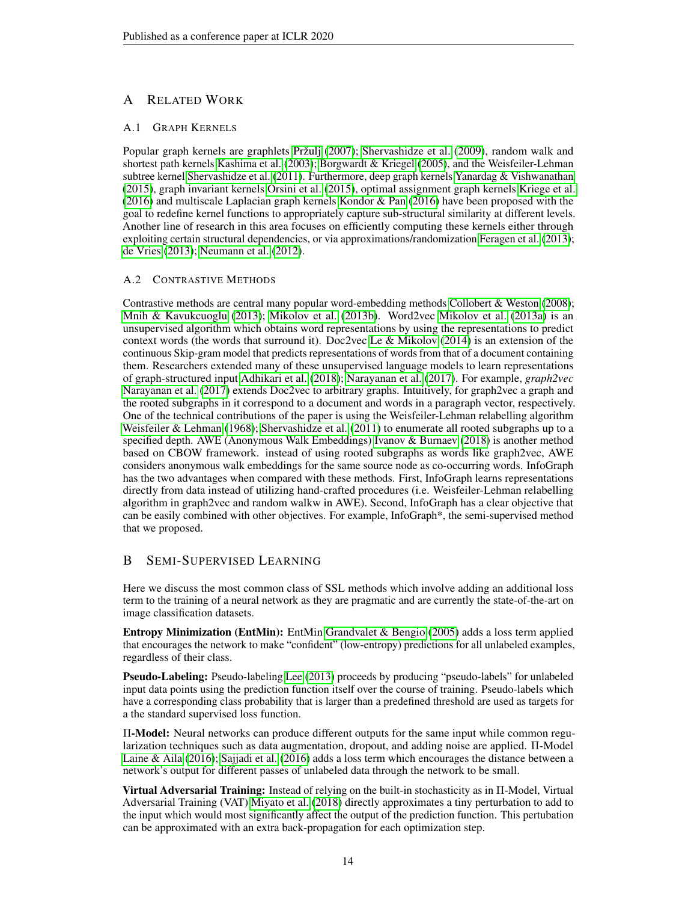# A RELATED WORK

#### A.1 GRAPH KERNELS

Popular graph kernels are graphlets [Pržulj](#page-11-4) [\(2007\)](#page-11-4); [Shervashidze et al.](#page-11-11) [\(2009\)](#page-11-11), random walk and shortest path kernels [Kashima et al.](#page-9-6) [\(2003\)](#page-9-6); [Borgwardt & Kriegel](#page-8-5) [\(2005\)](#page-8-5), and the Weisfeiler-Lehman subtree kernel [Shervashidze et al.](#page-11-12) [\(2011\)](#page-11-12). Furthermore, deep graph kernels [Yanardag & Vishwanathan](#page-12-8) [\(2015\)](#page-12-8), graph invariant kernels [Orsini et al.](#page-10-4) [\(2015\)](#page-10-4), optimal assignment graph kernels [Kriege et al.](#page-10-13) [\(2016\)](#page-10-13) and multiscale Laplacian graph kernels [Kondor & Pan](#page-10-10) [\(2016\)](#page-10-10) have been proposed with the goal to redefine kernel functions to appropriately capture sub-structural similarity at different levels. Another line of research in this area focuses on efficiently computing these kernels either through exploiting certain structural dependencies, or via approximations/randomization [Feragen et al.](#page-9-15) [\(2013\)](#page-9-15); [de Vries](#page-9-16) [\(2013\)](#page-9-16); [Neumann et al.](#page-10-14) [\(2012\)](#page-10-14).

#### A.2 CONTRASTIVE METHODS

Contrastive methods are central many popular word-embedding methods [Collobert & Weston](#page-8-7) [\(2008\)](#page-8-7); [Mnih & Kavukcuoglu](#page-10-15) [\(2013\)](#page-10-15); [Mikolov et al.](#page-10-16) [\(2013b\)](#page-10-16). Word2vec [Mikolov et al.](#page-10-5) [\(2013a\)](#page-10-5) is an unsupervised algorithm which obtains word representations by using the representations to predict context words (the words that surround it). Doc2vec [Le & Mikolov](#page-10-17) [\(2014\)](#page-10-17) is an extension of the continuous Skip-gram model that predicts representations of words from that of a document containing them. Researchers extended many of these unsupervised language models to learn representations of graph-structured input [Adhikari et al.](#page-8-3) [\(2018\)](#page-8-3); [Narayanan et al.](#page-10-2) [\(2017\)](#page-10-2). For example, *graph2vec* [Narayanan et al.](#page-10-2) [\(2017\)](#page-10-2) extends Doc2vec to arbitrary graphs. Intuitively, for graph2vec a graph and the rooted subgraphs in it correspond to a document and words in a paragraph vector, respectively. One of the technical contributions of the paper is using the Weisfeiler-Lehman relabelling algorithm [Weisfeiler & Lehman](#page-12-9) [\(1968\)](#page-12-9); [Shervashidze et al.](#page-11-12) [\(2011\)](#page-11-12) to enumerate all rooted subgraphs up to a specified depth. AWE (Anonymous Walk Embeddings) [Ivanov & Burnaev](#page-9-17) [\(2018\)](#page-9-17) is another method based on CBOW framework. instead of using rooted subgraphs as words like graph2vec, AWE considers anonymous walk embeddings for the same source node as co-occurring words. InfoGraph has the two advantages when compared with these methods. First, InfoGraph learns representations directly from data instead of utilizing hand-crafted procedures (i.e. Weisfeiler-Lehman relabelling algorithm in graph2vec and random walkw in AWE). Second, InfoGraph has a clear objective that can be easily combined with other objectives. For example, InfoGraph\*, the semi-supervised method that we proposed.

## B SEMI-SUPERVISED LEARNING

Here we discuss the most common class of SSL methods which involve adding an additional loss term to the training of a neural network as they are pragmatic and are currently the state-of-the-art on image classification datasets.

Entropy Minimization (EntMin): EntMin [Grandvalet & Bengio](#page-9-18) [\(2005\)](#page-9-18) adds a loss term applied that encourages the network to make "confident" (low-entropy) predictions for all unlabeled examples, regardless of their class.

Pseudo-Labeling: Pseudo-labeling [Lee](#page-10-18) [\(2013\)](#page-10-18) proceeds by producing "pseudo-labels" for unlabeled input data points using the prediction function itself over the course of training. Pseudo-labels which have a corresponding class probability that is larger than a predefined threshold are used as targets for a the standard supervised loss function.

Π-Model: Neural networks can produce different outputs for the same input while common regularization techniques such as data augmentation, dropout, and adding noise are applied. Π-Model [Laine & Aila](#page-10-9) [\(2016\)](#page-10-9); [Sajjadi et al.](#page-11-15) [\(2016\)](#page-11-15) adds a loss term which encourages the distance between a network's output for different passes of unlabeled data through the network to be small.

Virtual Adversarial Training: Instead of relying on the built-in stochasticity as in Π-Model, Virtual Adversarial Training (VAT) [Miyato et al.](#page-10-12) [\(2018\)](#page-10-12) directly approximates a tiny perturbation to add to the input which would most significantly affect the output of the prediction function. This pertubation can be approximated with an extra back-propagation for each optimization step.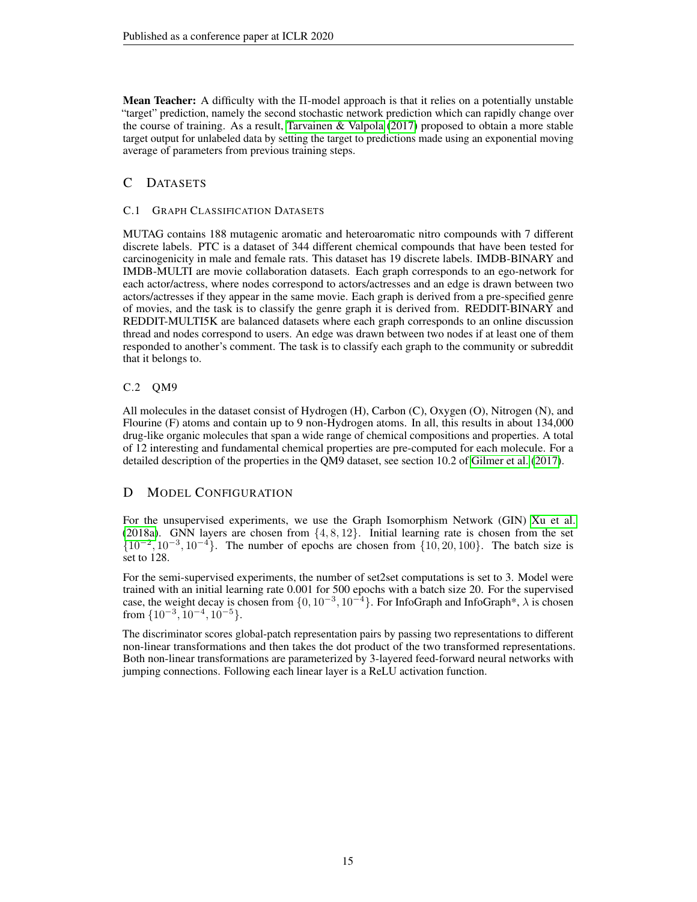Mean Teacher: A difficulty with the Π-model approach is that it relies on a potentially unstable "target" prediction, namely the second stochastic network prediction which can rapidly change over the course of training. As a result, [Tarvainen & Valpola](#page-11-5) [\(2017\)](#page-11-5) proposed to obtain a more stable target output for unlabeled data by setting the target to predictions made using an exponential moving average of parameters from previous training steps.

# C DATASETS

#### C.1 GRAPH CLASSIFICATION DATASETS

MUTAG contains 188 mutagenic aromatic and heteroaromatic nitro compounds with 7 different discrete labels. PTC is a dataset of 344 different chemical compounds that have been tested for carcinogenicity in male and female rats. This dataset has 19 discrete labels. IMDB-BINARY and IMDB-MULTI are movie collaboration datasets. Each graph corresponds to an ego-network for each actor/actress, where nodes correspond to actors/actresses and an edge is drawn between two actors/actresses if they appear in the same movie. Each graph is derived from a pre-specified genre of movies, and the task is to classify the genre graph it is derived from. REDDIT-BINARY and REDDIT-MULTI5K are balanced datasets where each graph corresponds to an online discussion thread and nodes correspond to users. An edge was drawn between two nodes if at least one of them responded to another's comment. The task is to classify each graph to the community or subreddit that it belongs to.

## C.2 QM9

All molecules in the dataset consist of Hydrogen (H), Carbon (C), Oxygen (O), Nitrogen (N), and Flourine (F) atoms and contain up to 9 non-Hydrogen atoms. In all, this results in about 134,000 drug-like organic molecules that span a wide range of chemical compositions and properties. A total of 12 interesting and fundamental chemical properties are pre-computed for each molecule. For a detailed description of the properties in the QM9 dataset, see section 10.2 of [Gilmer et al.](#page-9-3) [\(2017\)](#page-9-3).

## D MODEL CONFIGURATION

For the unsupervised experiments, we use the Graph Isomorphism Network (GIN) [Xu et al.](#page-12-7) [\(2018a\)](#page-12-7). GNN layers are chosen from  $\{4, 8, 12\}$ . Initial learning rate is chosen from the set  $\{10^{-2}, 10^{-3}, 10^{-4}\}.$  The number of epochs are chosen from  $\{10, 20, 100\}.$  The batch size is set to 128.

For the semi-supervised experiments, the number of set2set computations is set to 3. Model were trained with an initial learning rate 0.001 for 500 epochs with a batch size 20. For the supervised case, the weight decay is chosen from  $\{0, 10^{-3}, 10^{-4}\}\$ . For InfoGraph and InfoGraph\*,  $\lambda$  is chosen from  $\{10^{-3}, 10^{-4}, 10^{-5}\}.$ 

The discriminator scores global-patch representation pairs by passing two representations to different non-linear transformations and then takes the dot product of the two transformed representations. Both non-linear transformations are parameterized by 3-layered feed-forward neural networks with jumping connections. Following each linear layer is a ReLU activation function.